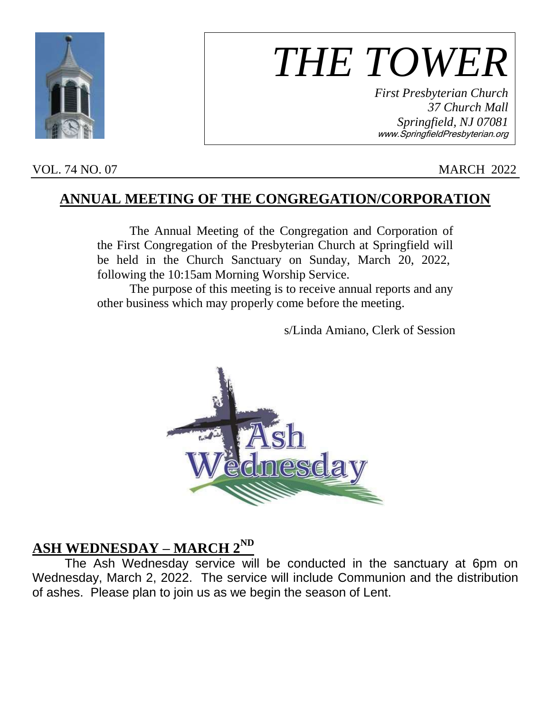

# *THE TOWER*

*First Presbyterian Church 37 Church Mall Springfield, NJ 07081* www.SpringfieldPresbyterian.org

#### VOL. 74 NO. 07 MARCH 2022

#### **ANNUAL MEETING OF THE CONGREGATION/CORPORATION**

The Annual Meeting of the Congregation and Corporation of the First Congregation of the Presbyterian Church at Springfield will be held in the Church Sanctuary on Sunday, March 20, 2022, following the 10:15am Morning Worship Service.

The purpose of this meeting is to receive annual reports and any other business which may properly come before the meeting.

s/Linda Amiano, Clerk of Session



### **ASH WEDNESDAY – MARCH 2ND**

The Ash Wednesday service will be conducted in the sanctuary at 6pm on Wednesday, March 2, 2022. The service will include Communion and the distribution of ashes. Please plan to join us as we begin the season of Lent.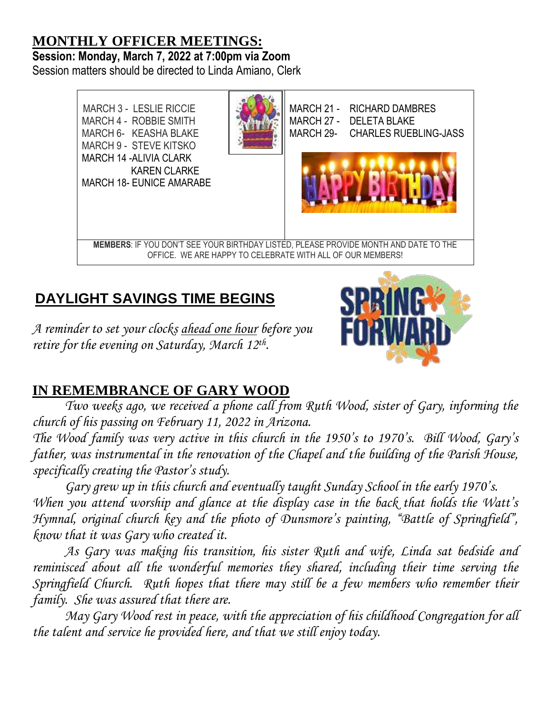# **MONTHLY OFFICER MEETINGS: Session: Monday, March 7, 2022 at 7:00pm via Zoom**

Session matters should be directed to Linda Amiano, Clerk



# **DAYLIGHT SAVINGS TIME BEGINS**

*A reminder to set your clocks ahead one hour before you*  retire for the evening on Saturday, March 12<sup>th</sup>.



# **IN REMEMBRANCE OF GARY WOOD**

*Two weeks ago, we received a phone call from Ruth Wood, sister of Gary, informing the church of his passing on February 11, 2022 in Arizona.*

*The Wood family was very active in this church in the 1950's to 1970's. Bill Wood, Gary's father, was instrumental in the renovation of the Chapel and the building of the Parish House, specifically creating the Pastor's study.*

*Gary grew up in this church and eventually taught Sunday School in the early 1970's. When you attend worship and glance at the display case in the back that holds the Watt's Hymnal, original church key and the photo of Dunsmore's painting, "Battle of Springfield", know that it was Gary who created it.*

*As Gary was making his transition, his sister Ruth and wife, Linda sat bedside and reminisced about all the wonderful memories they shared, including their time serving the Springfield Church. Ruth hopes that there may still be a few members who remember their family. She was assured that there are.*

*May Gary Wood rest in peace, with the appreciation of his childhood Congregation for all the talent and service he provided here, and that we still enjoy today.*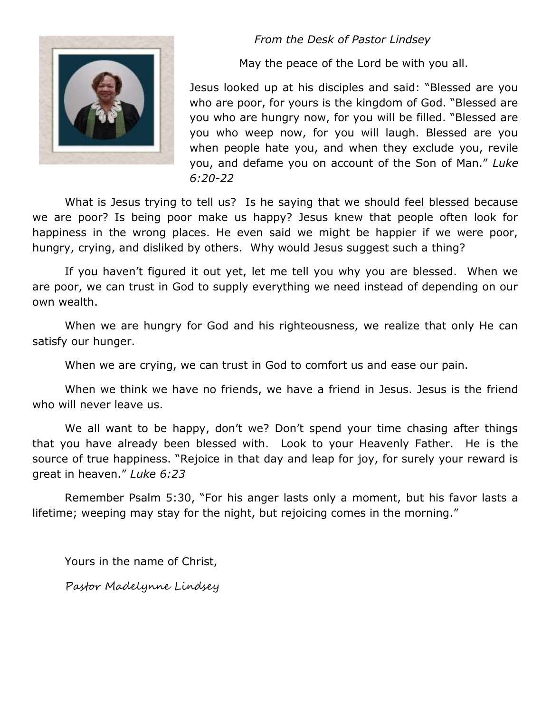#### *From the Desk of Pastor Lindsey*



May the peace of the Lord be with you all.

Jesus looked up at his disciples and said: "Blessed are you who are poor, for yours is the kingdom of God. "Blessed are you who are hungry now, for you will be filled. "Blessed are you who weep now, for you will laugh. Blessed are you when people hate you, and when they exclude you, revile you, and defame you on account of the Son of Man." *Luke 6:20-22*

What is Jesus trying to tell us? Is he saying that we should feel blessed because we are poor? Is being poor make us happy? Jesus knew that people often look for happiness in the wrong places. He even said we might be happier if we were poor, hungry, crying, and disliked by others. Why would Jesus suggest such a thing?

If you haven't figured it out yet, let me tell you why you are blessed. When we are poor, we can trust in God to supply everything we need instead of depending on our own wealth.

When we are hungry for God and his righteousness, we realize that only He can satisfy our hunger.

When we are crying, we can trust in God to comfort us and ease our pain.

When we think we have no friends, we have a friend in Jesus. Jesus is the friend who will never leave us.

We all want to be happy, don't we? Don't spend your time chasing after things that you have already been blessed with. Look to your Heavenly Father. He is the source of true happiness. "Rejoice in that day and leap for joy, for surely your reward is great in heaven." *Luke 6:23*

Remember Psalm 5:30, "For his anger lasts only a moment, but his favor lasts a lifetime; weeping may stay for the night, but rejoicing comes in the morning."

Yours in the name of Christ,

Pastor Madelynne Lindsey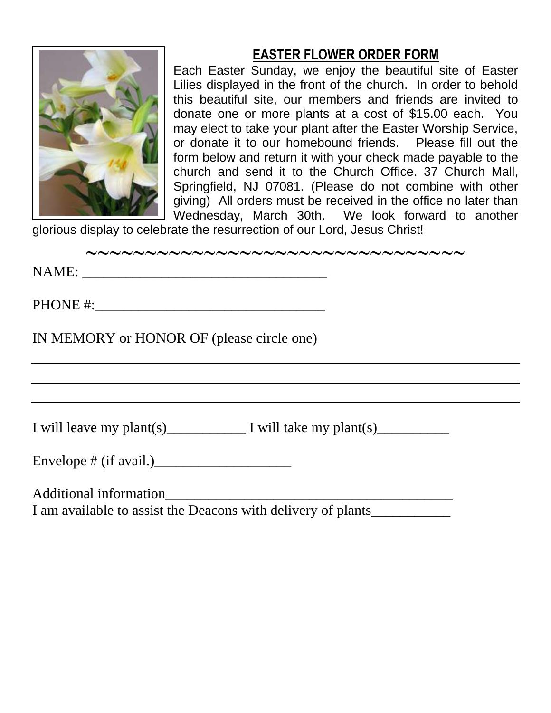## **EASTER FLOWER ORDER FORM**



Each Easter Sunday, we enjoy the beautiful site of Easter Lilies displayed in the front of the church. In order to behold this beautiful site, our members and friends are invited to donate one or more plants at a cost of \$15.00 each. You may elect to take your plant after the Easter Worship Service, or donate it to our homebound friends. Please fill out the form below and return it with your check made payable to the church and send it to the Church Office. 37 Church Mall, Springfield, NJ 07081. (Please do not combine with other giving) All orders must be received in the office no later than Wednesday, March 30th. We look forward to another

glorious display to celebrate the resurrection of our Lord, Jesus Christ!

| ~~~~~~~~~~~~~~~~~~~~~~~~~~~~~~~~~~~ |
|-------------------------------------|
|                                     |

NAME:

PHONE #:\_\_\_\_\_\_\_\_\_\_\_\_\_\_\_\_\_\_\_\_\_\_\_\_\_\_\_\_\_\_\_\_

IN MEMORY or HONOR OF (please circle one)

I will leave my plant(s)  $\qquad \qquad$  I will take my plant(s)  $\qquad \qquad$ 

Envelope # (if avail.)\_\_\_\_\_\_\_\_\_\_\_\_\_\_\_\_\_\_\_

Additional information\_\_\_\_\_\_\_\_\_\_\_\_\_\_\_\_\_\_\_\_\_\_\_\_\_\_\_\_\_\_\_\_\_\_\_\_\_\_\_\_

I am available to assist the Deacons with delivery of plants\_\_\_\_\_\_\_\_\_\_\_\_\_\_\_\_\_\_\_\_\_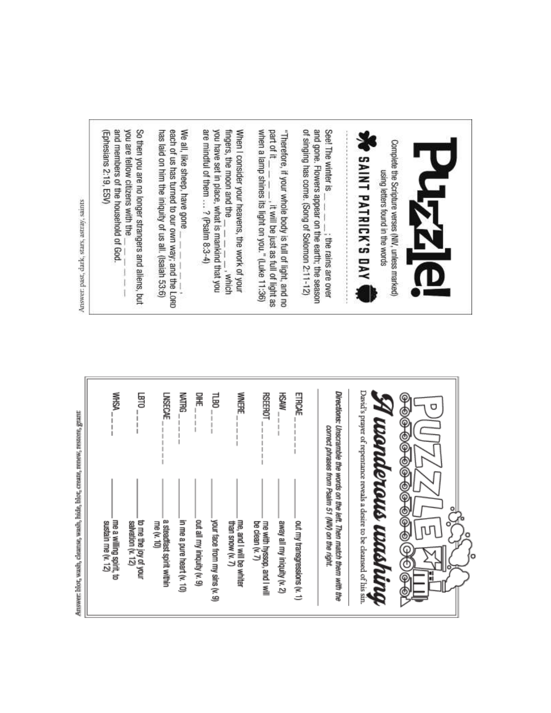| you are fellow citizens with the<br>(Ephesians 2:19, ESV)<br>and members of the household of God. | We all, like sheep, have gone                                                                               | are mindful of them $$ ? (Psalm 8:3-4)<br>fingers, the moon and the                                          | part of it                                                                                                                                             | See! The winter is                                                                                                          |                                                                                                                     |
|---------------------------------------------------------------------------------------------------|-------------------------------------------------------------------------------------------------------------|--------------------------------------------------------------------------------------------------------------|--------------------------------------------------------------------------------------------------------------------------------------------------------|-----------------------------------------------------------------------------------------------------------------------------|---------------------------------------------------------------------------------------------------------------------|
| So then you are no longer strangers and aliens, but                                               | each of us has turned to our own way; and the LORD<br>has laid on him the iniquity of us all. (Isaiah 53:6) | you have set in place, what is mankind that you<br>When I consider your heavens, the work of your<br>, which | when a lamp shines its light on you." (Luke 11:36)<br>"Therefore, if your whole body is full of light, and no<br>, it will be just as full of light as | of singing has come. (Song of Solomon 2:11-12)<br>and gone. Flowers appear on the earth; the season<br>; the rains are over | Complete the Scripture verses (NIV, unless marked)<br><b>PINT PATRICK'S DAY</b><br>using letters found in the words |

| j<br>۱                |
|-----------------------|
| ë<br>u<br>ı           |
| ı<br>ı                |
| I<br>٠                |
| i<br>F<br>u)<br>۰     |
| ı                     |
| иñ<br>٠<br>٠<br>۱     |
|                       |
| ¢<br>u<br>۰<br>i<br>ř |
| ۲<br>٠<br>í.          |
| ı<br>ï<br>í           |

| <b>MHSA</b><br>国                                                                            | <b>MATRG</b><br>릻<br>呈<br><b>LNSECAE</b>                                                                                             | WNERE<br><b>RSEEROT</b><br><b>HSAW</b><br>ETRCAE                                                                                                             | φ<br>Ф<br>Õ<br>⊕<br>©<br>$\frac{\Theta}{\Theta}$                                                                                                                                                                                                                                                  |
|---------------------------------------------------------------------------------------------|--------------------------------------------------------------------------------------------------------------------------------------|--------------------------------------------------------------------------------------------------------------------------------------------------------------|---------------------------------------------------------------------------------------------------------------------------------------------------------------------------------------------------------------------------------------------------------------------------------------------------|
| me a willing spirit, to<br>sustain me (v. 12)<br>to me the joy of your<br>salvation (v. 12) | a steadfast spirit within<br>in me a pure heart (v. 10)<br>out all my iniquity (v. 9)<br>your face from my sins (v. 9)<br>me (v. 10) | me, and I will be whiter<br>out my transgressions (v. 1)<br>than snow (v. 7)<br>me with hyssop, and I will<br>away all my iniquity (v. 2)<br>be clean (v. 7) | David's prayer of repentance reveals a desire to be cleansed of his sin<br>Directions: Unscramble the words on the left. Then match them with the<br>unanderaus washina<br>correct phrases from Psalm 51 (NIV) on the right.<br>$\frac{\Theta}{\Theta}$<br>۰<br>$\frac{1}{2}$<br>T<br>о<br>₾<br>۲ |